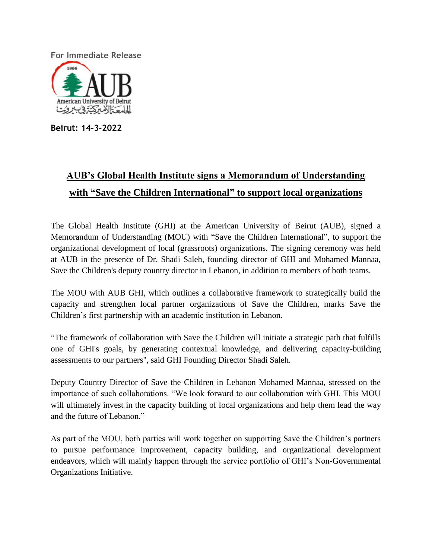**For Immediate Release**



**Beirut: 14-3-2022**

## **AUB's Global Health Institute signs a Memorandum of Understanding with "Save the Children International" to support local organizations**

The Global Health Institute (GHI) at the American University of Beirut (AUB), signed a Memorandum of Understanding (MOU) with "Save the Children International", to support the organizational development of local (grassroots) organizations. The signing ceremony was held at AUB in the presence of Dr. Shadi Saleh, founding director of GHI and Mohamed Mannaa, Save the Children's deputy country director in Lebanon, in addition to members of both teams.

The MOU with AUB GHI, which outlines a collaborative framework to strategically build the capacity and strengthen local partner organizations of Save the Children, marks Save the Children's first partnership with an academic institution in Lebanon.

"The framework of collaboration with Save the Children will initiate a strategic path that fulfills one of GHI's goals, by generating contextual knowledge, and delivering capacity-building assessments to our partners", said GHI Founding Director Shadi Saleh.

Deputy Country Director of Save the Children in Lebanon Mohamed Mannaa, stressed on the importance of such collaborations. "We look forward to our collaboration with GHI. This MOU will ultimately invest in the capacity building of local organizations and help them lead the way and the future of Lebanon."

As part of the MOU, both parties will work together on supporting Save the Children's partners to pursue performance improvement, capacity building, and organizational development endeavors, which will mainly happen through the service portfolio of GHI's Non-Governmental Organizations Initiative.